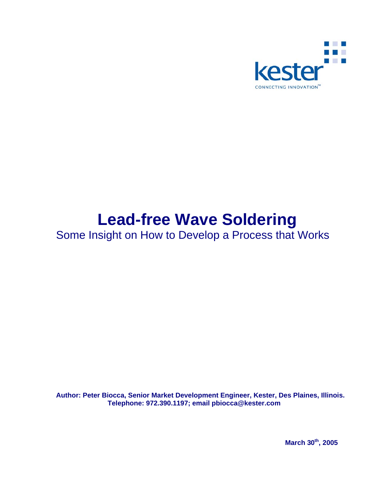

# **Lead-free Wave Soldering**

Some Insight on How to Develop a Process that Works

**Author: Peter Biocca, Senior Market Development Engineer, Kester, Des Plaines, Illinois. Telephone: 972.390.1197; email pbiocca@kester.com** 

 **March 30th, 2005**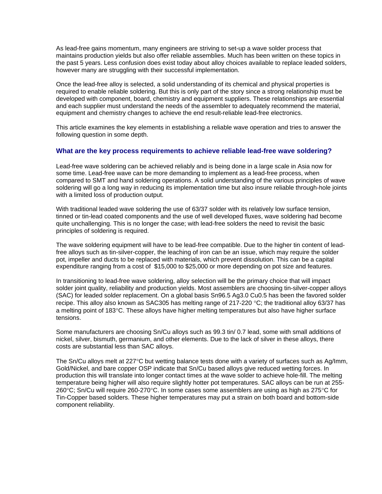As lead-free gains momentum, many engineers are striving to set-up a wave solder process that maintains production yields but also offer reliable assemblies. Much has been written on these topics in the past 5 years. Less confusion does exist today about alloy choices available to replace leaded solders, however many are struggling with their successful implementation.

Once the lead-free alloy is selected, a solid understanding of its chemical and physical properties is required to enable reliable soldering. But this is only part of the story since a strong relationship must be developed with component, board, chemistry and equipment suppliers. These relationships are essential and each supplier must understand the needs of the assembler to adequately recommend the material, equipment and chemistry changes to achieve the end result-reliable lead-free electronics.

This article examines the key elements in establishing a reliable wave operation and tries to answer the following question in some depth.

## **What are the key process requirements to achieve reliable lead-free wave soldering?**

Lead-free wave soldering can be achieved reliably and is being done in a large scale in Asia now for some time. Lead-free wave can be more demanding to implement as a lead-free process, when compared to SMT and hand soldering operations. A solid understanding of the various principles of wave soldering will go a long way in reducing its implementation time but also insure reliable through-hole joints with a limited loss of production output.

With traditional leaded wave soldering the use of 63/37 solder with its relatively low surface tension, tinned or tin-lead coated components and the use of well developed fluxes, wave soldering had become quite unchallenging. This is no longer the case; with lead-free solders the need to revisit the basic principles of soldering is required.

The wave soldering equipment will have to be lead-free compatible. Due to the higher tin content of leadfree alloys such as tin-silver-copper, the leaching of iron can be an issue, which may require the solder pot, impeller and ducts to be replaced with materials, which prevent dissolution. This can be a capital expenditure ranging from a cost of \$15,000 to \$25,000 or more depending on pot size and features.

In transitioning to lead-free wave soldering, alloy selection will be the primary choice that will impact solder joint quality, reliability and production yields. Most assemblers are choosing tin-silver-copper alloys (SAC) for leaded solder replacement. On a global basis Sn96.5 Ag3.0 Cu0.5 has been the favored solder recipe. This alloy also known as SAC305 has melting range of 217-220 °C; the traditional alloy 63/37 has a melting point of 183°C. These alloys have higher melting temperatures but also have higher surface tensions.

Some manufacturers are choosing Sn/Cu alloys such as 99.3 tin/ 0.7 lead, some with small additions of nickel, silver, bismuth, germanium, and other elements. Due to the lack of silver in these alloys, there costs are substantial less than SAC alloys.

The Sn/Cu alloys melt at 227°C but wetting balance tests done with a variety of surfaces such as Ag/Imm, Gold/Nickel, and bare copper OSP indicate that Sn/Cu based alloys give reduced wetting forces. In production this will translate into longer contact times at the wave solder to achieve hole-fill. The melting temperature being higher will also require slightly hotter pot temperatures. SAC alloys can be run at 255- 260°C; Sn/Cu will require 260-270°C. In some cases some assemblers are using as high as 275°C for Tin-Copper based solders. These higher temperatures may put a strain on both board and bottom-side component reliability.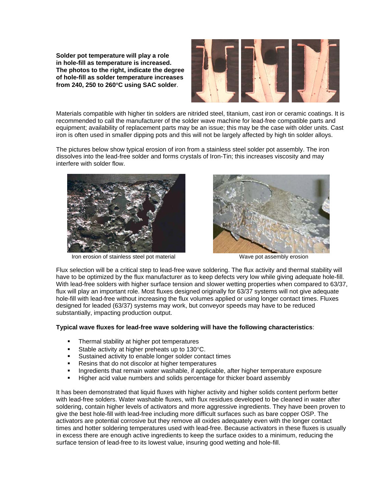**Solder pot temperature will play a role in hole-fill as temperature is increased. The photos to the right, indicate the degree of hole-fill as solder temperature increases from 240, 250 to 260**°**C using SAC solder**.



Materials compatible with higher tin solders are nitrided steel, titanium, cast iron or ceramic coatings. It is recommended to call the manufacturer of the solder wave machine for lead-free compatible parts and equipment; availability of replacement parts may be an issue; this may be the case with older units. Cast iron is often used in smaller dipping pots and this will not be largely affected by high tin solder alloys.

The pictures below show typical erosion of iron from a stainless steel solder pot assembly. The iron dissolves into the lead-free solder and forms crystals of Iron-Tin; this increases viscosity and may interfere with solder flow.



Iron erosion of stainless steel pot material Wave pot assembly erosion



Flux selection will be a critical step to lead-free wave soldering. The flux activity and thermal stability will have to be optimized by the flux manufacturer as to keep defects very low while giving adequate hole-fill. With lead-free solders with higher surface tension and slower wetting properties when compared to 63/37, flux will play an important role. Most fluxes designed originally for 63/37 systems will not give adequate hole-fill with lead-free without increasing the flux volumes applied or using longer contact times. Fluxes designed for leaded (63/37) systems may work, but conveyor speeds may have to be reduced substantially, impacting production output.

#### **Typical wave fluxes for lead-free wave soldering will have the following characteristics**:

- **FILE** Thermal stability at higher pot temperatures
- Stable activity at higher preheats up to 130°C.
- Sustained activity to enable longer solder contact times
- Resins that do not discolor at higher temperatures
- Ingredients that remain water washable, if applicable, after higher temperature exposure
- Higher acid value numbers and solids percentage for thicker board assembly

It has been demonstrated that liquid fluxes with higher activity and higher solids content perform better with lead-free solders. Water washable fluxes, with flux residues developed to be cleaned in water after soldering, contain higher levels of activators and more aggressive ingredients. They have been proven to give the best hole-fill with lead-free including more difficult surfaces such as bare copper OSP. The activators are potential corrosive but they remove all oxides adequately even with the longer contact times and hotter soldering temperatures used with lead-free. Because activators in these fluxes is usually in excess there are enough active ingredients to keep the surface oxides to a minimum, reducing the surface tension of lead-free to its lowest value, insuring good wetting and hole-fill.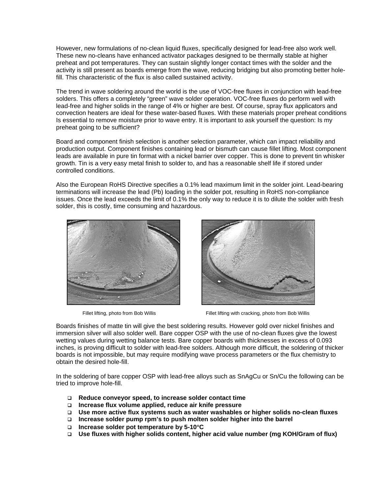However, new formulations of no-clean liquid fluxes, specifically designed for lead-free also work well. These new no-cleans have enhanced activator packages designed to be thermally stable at higher preheat and pot temperatures. They can sustain slightly longer contact times with the solder and the activity is still present as boards emerge from the wave, reducing bridging but also promoting better holefill. This characteristic of the flux is also called sustained activity.

The trend in wave soldering around the world is the use of VOC-free fluxes in conjunction with lead-free solders. This offers a completely "green" wave solder operation. VOC-free fluxes do perform well with lead-free and higher solids in the range of 4% or higher are best. Of course, spray flux applicators and convection heaters are ideal for these water-based fluxes. With these materials proper preheat conditions Is essential to remove moisture prior to wave entry. It is important to ask yourself the question: Is my preheat going to be sufficient?

Board and component finish selection is another selection parameter, which can impact reliability and production output. Component finishes containing lead or bismuth can cause fillet lifting. Most component leads are available in pure tin format with a nickel barrier over copper. This is done to prevent tin whisker growth. Tin is a very easy metal finish to solder to, and has a reasonable shelf life if stored under controlled conditions.

Also the European RoHS Directive specifies a 0.1% lead maximum limit in the solder joint. Lead-bearing terminations will increase the lead (Pb) loading in the solder pot, resulting in RoHS non-compliance issues. Once the lead exceeds the limit of 0.1% the only way to reduce it is to dilute the solder with fresh solder, this is costly, time consuming and hazardous.





Fillet lifting, photo from Bob Willis Fillet lifting with cracking, photo from Bob Willis

Boards finishes of matte tin will give the best soldering results. However gold over nickel finishes and immersion silver will also solder well. Bare copper OSP with the use of no-clean fluxes give the lowest wetting values during wetting balance tests. Bare copper boards with thicknesses in excess of 0.093 inches, is proving difficult to solder with lead-free solders. Although more difficult, the soldering of thicker boards is not impossible, but may require modifying wave process parameters or the flux chemistry to obtain the desired hole-fill.

In the soldering of bare copper OSP with lead-free alloys such as SnAgCu or Sn/Cu the following can be tried to improve hole-fill.

- **Reduce conveyor speed, to increase solder contact time**
- **Increase flux volume applied, reduce air knife pressure**
- **Use more active flux systems such as water washables or higher solids no-clean fluxes**
- **Increase solder pump rpm's to push molten solder higher into the barrel**
- **Increase solder pot temperature by 5-10**°**C**
- **Use fluxes with higher solids content, higher acid value number (mg KOH/Gram of flux)**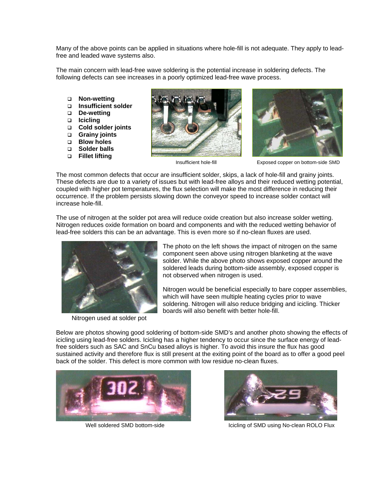Many of the above points can be applied in situations where hole-fill is not adequate. They apply to leadfree and leaded wave systems also.

The main concern with lead-free wave soldering is the potential increase in soldering defects. The following defects can see increases in a poorly optimized lead-free wave process.

- **Non-wetting**
- **Insufficient solder**
- **De-wetting**
- **Icicling**
- **Cold solder joints**
- **Grainy joints**
- **Blow holes**
- **Solder balls**
- **Fillet lifting**





Insufficient hole-fill Exposed copper on bottom-side SMD

The most common defects that occur are insufficient solder, skips, a lack of hole-fill and grainy joints. These defects are due to a variety of issues but with lead-free alloys and their reduced wetting potential, coupled with higher pot temperatures, the flux selection will make the most difference in reducing their occurrence. If the problem persists slowing down the conveyor speed to increase solder contact will increase hole-fill.

The use of nitrogen at the solder pot area will reduce oxide creation but also increase solder wetting. Nitrogen reduces oxide formation on board and components and with the reduced wetting behavior of lead-free solders this can be an advantage. This is even more so if no-clean fluxes are used.



Nitrogen used at solder pot

The photo on the left shows the impact of nitrogen on the same component seen above using nitrogen blanketing at the wave solder. While the above photo shows exposed copper around the soldered leads during bottom-side assembly, exposed copper is not observed when nitrogen is used.

Nitrogen would be beneficial especially to bare copper assemblies, which will have seen multiple heating cycles prior to wave soldering. Nitrogen will also reduce bridging and icicling. Thicker boards will also benefit with better hole-fill.

Below are photos showing good soldering of bottom-side SMD's and another photo showing the effects of icicling using lead-free solders. Icicling has a higher tendency to occur since the surface energy of leadfree solders such as SAC and SnCu based alloys is higher. To avoid this insure the flux has good sustained activity and therefore flux is still present at the exiting point of the board as to offer a good peel back of the solder. This defect is more common with low residue no-clean fluxes.





Well soldered SMD bottom-side **Icicling of SMD using No-clean ROLO Flux**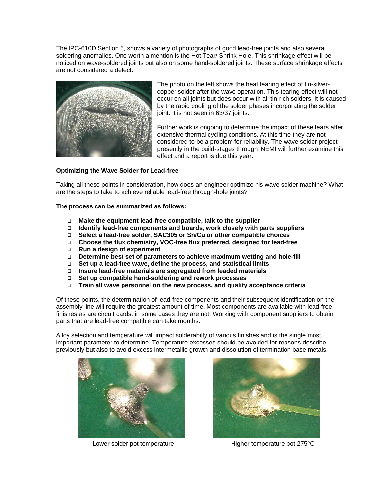The IPC-610D Section 5, shows a variety of photographs of good lead-free joints and also several soldering anomalies. One worth a mention is the Hot Tear/ Shrink Hole. This shrinkage effect will be noticed on wave-soldered joints but also on some hand-soldered joints. These surface shrinkage effects are not considered a defect.



The photo on the left shows the heat tearing effect of tin-silvercopper solder after the wave operation. This tearing effect will not occur on all joints but does occur with all tin-rich solders. It is caused by the rapid cooling of the solder phases incorporating the solder joint. It is not seen in 63/37 joints.

Further work is ongoing to determine the impact of these tears after extensive thermal cycling conditions. At this time they are not considered to be a problem for reliability. The wave solder project presently in the build-stages through iNEMI will further examine this effect and a report is due this year.

## **Optimizing the Wave Solder for Lead-free**

Taking all these points in consideration, how does an engineer optimize his wave solder machine? What are the steps to take to achieve reliable lead-free through-hole joints?

**The process can be summarized as follows:** 

- **Make the equipment lead-free compatible, talk to the supplier**
- **Identify lead-free components and boards, work closely with parts suppliers**
- **Select a lead-free solder, SAC305 or Sn/Cu or other compatible choices**
- **Choose the flux chemistry, VOC-free flux preferred, designed for lead-free**
- **Run a design of experiment**
- **Determine best set of parameters to achieve maximum wetting and hole-fill**
- **Set up a lead-free wave, define the process, and statistical limits**
- **Insure lead-free materials are segregated from leaded materials**
- **Set up compatible hand-soldering and rework processes**
- **Train all wave personnel on the new process, and quality acceptance criteria**

Of these points, the determination of lead-free components and their subsequent identification on the assembly line will require the greatest amount of time. Most components are available with lead-free finishes as are circuit cards, in some cases they are not. Working with component suppliers to obtain parts that are lead-free compatible can take months.

Alloy selection and temperature will impact solderabilty of various finishes and is the single most important parameter to determine. Temperature excesses should be avoided for reasons describe previously but also to avoid excess intermetallic growth and dissolution of termination base metals.





Lower solder pot temperature **Higher temperature Higher temperature pot 275°C**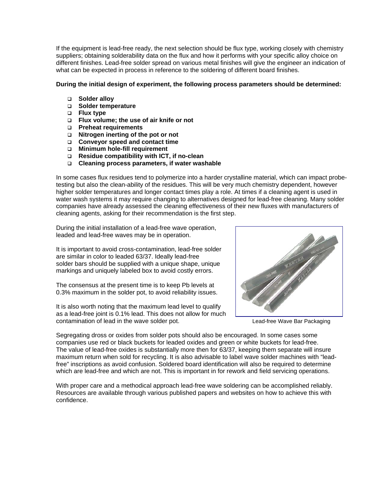If the equipment is lead-free ready, the next selection should be flux type, working closely with chemistry suppliers; obtaining solderability data on the flux and how it performs with your specific alloy choice on different finishes. Lead-free solder spread on various metal finishes will give the engineer an indication of what can be expected in process in reference to the soldering of different board finishes.

#### **During the initial design of experiment, the following process parameters should be determined:**

- **Solder alloy**
- **Solder temperature**
- **Flux type**
- **Flux volume; the use of air knife or not**
- **Preheat requirements**
- **Nitrogen inerting of the pot or not**
- **Conveyor speed and contact time**
- **Minimum hole-fill requirement**
- **Residue compatibility with ICT, if no-clean**
- **Cleaning process parameters, if water washable**

In some cases flux residues tend to polymerize into a harder crystalline material, which can impact probetesting but also the clean-ability of the residues. This will be very much chemistry dependent, however higher solder temperatures and longer contact times play a role. At times if a cleaning agent is used in water wash systems it may require changing to alternatives designed for lead-free cleaning. Many solder companies have already assessed the cleaning effectiveness of their new fluxes with manufacturers of cleaning agents, asking for their recommendation is the first step.

During the initial installation of a lead-free wave operation, leaded and lead-free waves may be in operation.

It is important to avoid cross-contamination, lead-free solder are similar in color to leaded 63/37. Ideally lead-free solder bars should be supplied with a unique shape, unique markings and uniquely labeled box to avoid costly errors.

The consensus at the present time is to keep Pb levels at 0.3% maximum in the solder pot, to avoid reliability issues.

It is also worth noting that the maximum lead level to qualify as a lead-free joint is 0.1% lead. This does not allow for much contamination of lead in the wave solder pot. Lead-free Wave Bar Packaging



Segregating dross or oxides from solder pots should also be encouraged. In some cases some companies use red or black buckets for leaded oxides and green or white buckets for lead-free. The value of lead-free oxides is substantially more then for 63/37, keeping them separate will insure maximum return when sold for recycling. It is also advisable to label wave solder machines with "leadfree" inscriptions as avoid confusion. Soldered board identification will also be required to determine which are lead-free and which are not. This is important in for rework and field servicing operations.

With proper care and a methodical approach lead-free wave soldering can be accomplished reliably. Resources are available through various published papers and websites on how to achieve this with confidence.